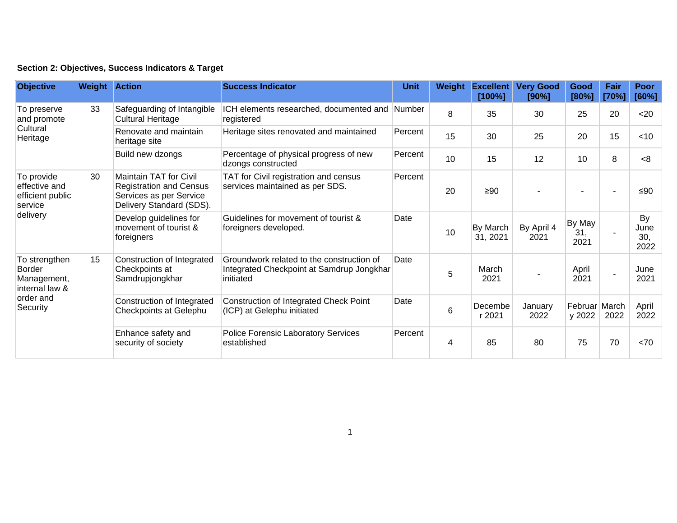|  | Section 2: Objectives, Success Indicators & Target |  |  |  |  |
|--|----------------------------------------------------|--|--|--|--|
|--|----------------------------------------------------|--|--|--|--|

| <b>Objective</b>                                                                  | <b>Weight Action</b> |                                                                                                                 | <b>Success Indicator</b>                                                                            | <b>Unit</b> | Weight | <b>Excellent</b><br>[100%] | <b>Very Good</b><br>[90%] | Good<br>[80%]           | Fair<br>[70%] | Poor<br>[60%]             |
|-----------------------------------------------------------------------------------|----------------------|-----------------------------------------------------------------------------------------------------------------|-----------------------------------------------------------------------------------------------------|-------------|--------|----------------------------|---------------------------|-------------------------|---------------|---------------------------|
| To preserve<br>and promote<br>Cultural<br>Heritage                                | 33                   | Safeguarding of Intangible<br><b>Cultural Heritage</b>                                                          | ICH elements researched, documented and Number<br>registered                                        |             | 8      | 35                         | 30                        | 25                      | 20            | $20$                      |
|                                                                                   |                      | Renovate and maintain<br>heritage site                                                                          | Heritage sites renovated and maintained                                                             | Percent     | 15     | 30                         | 25                        | 20                      | 15            | $<$ 10                    |
|                                                                                   |                      | Build new dzongs                                                                                                | Percentage of physical progress of new<br>dzongs constructed                                        | Percent     | 10     | 15                         | 12                        | 10                      | 8             | < 8                       |
| To provide<br>effective and<br>efficient public<br>service<br>delivery            | 30                   | Maintain TAT for Civil<br><b>Registration and Census</b><br>Services as per Service<br>Delivery Standard (SDS). | TAT for Civil registration and census<br>services maintained as per SDS.                            | Percent     | 20     | $\geq 90$                  |                           |                         |               | ≤ $90$                    |
|                                                                                   |                      | Develop guidelines for<br>movement of tourist &<br>foreigners                                                   | Guidelines for movement of tourist &<br>foreigners developed.                                       | Date        | 10     | By March<br>31, 2021       | By April 4<br>2021        | By May<br>31,<br>2021   |               | By<br>June<br>30,<br>2022 |
| To strengthen<br>Border<br>Management,<br>internal law &<br>order and<br>Security | 15                   | Construction of Integrated<br>Checkpoints at<br>Samdrupjongkhar                                                 | Groundwork related to the construction of<br>Integrated Checkpoint at Samdrup Jongkhar<br>initiated | Date        | 5      | March<br>2021              |                           | April<br>2021           |               | June<br>2021              |
|                                                                                   |                      | Construction of Integrated<br>Checkpoints at Gelephu                                                            | <b>Construction of Integrated Check Point</b><br>(ICP) at Gelephu initiated                         | Date        | 6      | Decembe<br>r 2021          | January<br>2022           | Februar March<br>y 2022 | 2022          | April<br>2022             |
|                                                                                   |                      | Enhance safety and<br>security of society                                                                       | <b>Police Forensic Laboratory Services</b><br>established                                           | Percent     | 4      | 85                         | 80                        | 75                      | 70            | <70                       |